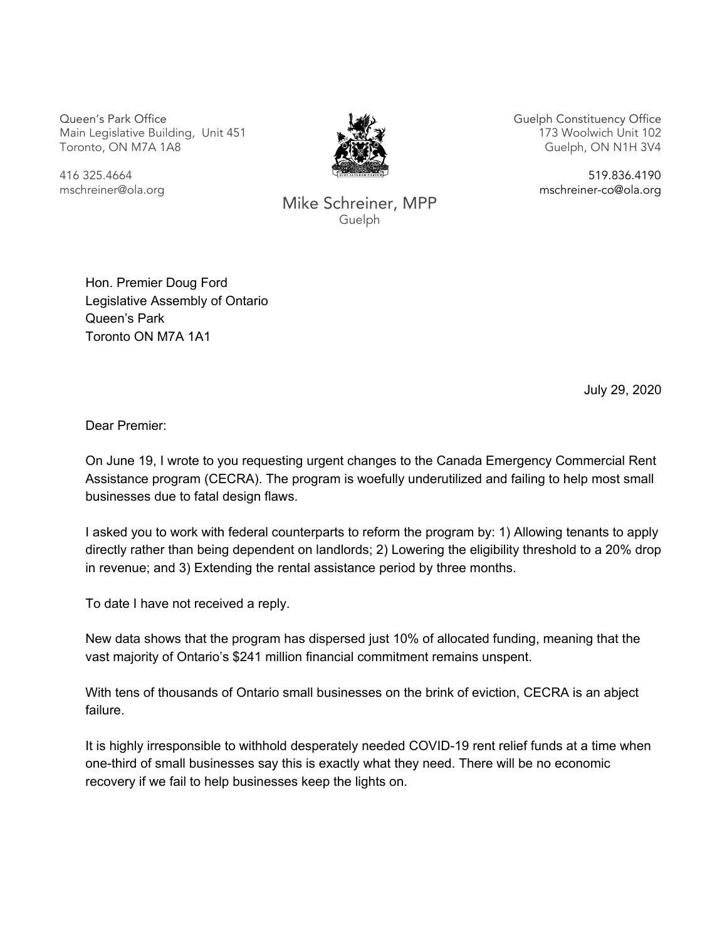Queen's Park Office Main Legislative Building, Unit 451 Toronto, ON M7A 1A8



Guelph Constituency Office 173 Woolwich Unit 102 Guelph, ON N1H 3V4

416 325.4664 mschreiner@ola.org

Mike Schreiner, MPP Guelph

519.836.4190

mschreiner-co@ola.org

Hon. Premier Doug Ford Legislative Assembly of Ontario Queen's Park Toronto ON M7A 1A1

July 29, 2020

Dear Premier:

On June 19, I wrote to you requesting urgent changes to the Canada Emergency Commercial Rent Assistance program (CECRA). The program is woefully underutilized and failing to help most small businesses due to fatal design flaws.

I asked you to work with federal counterparts to reform the program by: 1) Allowing tenants to apply directly rather than being dependent on landlords; 2) Lowering the eligibility threshold to a 20% drop in revenue; and 3) Extending the rental assistance period by three months.

To date I have not received a reply.

New data shows that the program has dispersed just 10% of allocated funding, meaning that the vast majority of Ontario's \$241 million financial commitment remains unspent.

With tens of thousands of Ontario small businesses on the brink of eviction, CECRA is an abject failure.

It is highly irresponsible to withhold desperately needed COVID-19 rent relief funds at a time when one-third of small businesses say this is exactly what they need. There will be no economic recovery if we fail to help businesses keep the lights on.